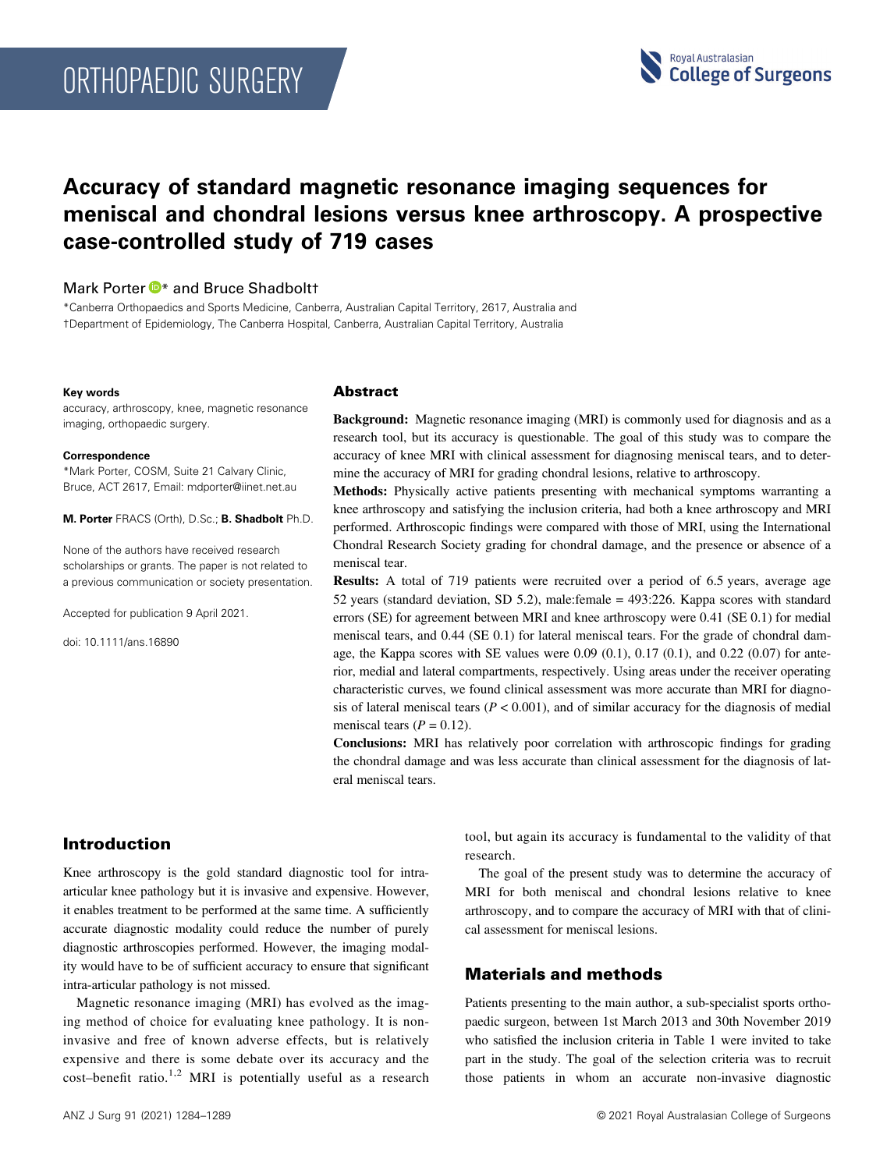# ORTHOPAEDIC SURGERY



# Accuracy of standard magnetic resonance imaging sequences for meniscal and chondral lesions versus knee arthroscopy. A prospective case-controlled study of 719 cases

# Mark Porter  $\mathbf{D}^*$  $\mathbf{D}^*$  and Bruce Shadboltt

\*Canberra Orthopaedics and Sports Medicine, Canberra, Australian Capital Territory, 2617, Australia and †Department of Epidemiology, The Canberra Hospital, Canberra, Australian Capital Territory, Australia

#### Key words

accuracy, arthroscopy, knee, magnetic resonance imaging, orthopaedic surgery.

#### Correspondence

\*Mark Porter, COSM, Suite 21 Calvary Clinic, Bruce, ACT 2617, Email: mdporter@iinet.net.au

M. Porter FRACS (Orth), D.Sc.; B. Shadbolt Ph.D.

None of the authors have received research scholarships or grants. The paper is not related to a previous communication or society presentation.

Accepted for publication 9 April 2021.

doi: 10.1111/ans.16890

#### Abstract

Background: Magnetic resonance imaging (MRI) is commonly used for diagnosis and as a research tool, but its accuracy is questionable. The goal of this study was to compare the accuracy of knee MRI with clinical assessment for diagnosing meniscal tears, and to determine the accuracy of MRI for grading chondral lesions, relative to arthroscopy.

Methods: Physically active patients presenting with mechanical symptoms warranting a knee arthroscopy and satisfying the inclusion criteria, had both a knee arthroscopy and MRI performed. Arthroscopic findings were compared with those of MRI, using the International Chondral Research Society grading for chondral damage, and the presence or absence of a meniscal tear.

Results: A total of 719 patients were recruited over a period of 6.5 years, average age 52 years (standard deviation, SD 5.2), male:female = 493:226. Kappa scores with standard errors (SE) for agreement between MRI and knee arthroscopy were 0.41 (SE 0.1) for medial meniscal tears, and 0.44 (SE 0.1) for lateral meniscal tears. For the grade of chondral damage, the Kappa scores with SE values were  $0.09 (0.1)$ ,  $0.17 (0.1)$ , and  $0.22 (0.07)$  for anterior, medial and lateral compartments, respectively. Using areas under the receiver operating characteristic curves, we found clinical assessment was more accurate than MRI for diagnosis of lateral meniscal tears  $(P < 0.001)$ , and of similar accuracy for the diagnosis of medial meniscal tears ( $P = 0.12$ ).

Conclusions: MRI has relatively poor correlation with arthroscopic findings for grading the chondral damage and was less accurate than clinical assessment for the diagnosis of lateral meniscal tears.

# Introduction

Knee arthroscopy is the gold standard diagnostic tool for intraarticular knee pathology but it is invasive and expensive. However, it enables treatment to be performed at the same time. A sufficiently accurate diagnostic modality could reduce the number of purely diagnostic arthroscopies performed. However, the imaging modality would have to be of sufficient accuracy to ensure that significant intra-articular pathology is not missed.

Magnetic resonance imaging (MRI) has evolved as the imaging method of choice for evaluating knee pathology. It is noninvasive and free of known adverse effects, but is relatively expensive and there is some debate over its accuracy and the  $cost$ -benefit ratio.<sup>1,2</sup> MRI is potentially useful as a research tool, but again its accuracy is fundamental to the validity of that research.

The goal of the present study was to determine the accuracy of MRI for both meniscal and chondral lesions relative to knee arthroscopy, and to compare the accuracy of MRI with that of clinical assessment for meniscal lesions.

# Materials and methods

Patients presenting to the main author, a sub-specialist sports orthopaedic surgeon, between 1st March 2013 and 30th November 2019 who satisfied the inclusion criteria in Table 1 were invited to take part in the study. The goal of the selection criteria was to recruit those patients in whom an accurate non-invasive diagnostic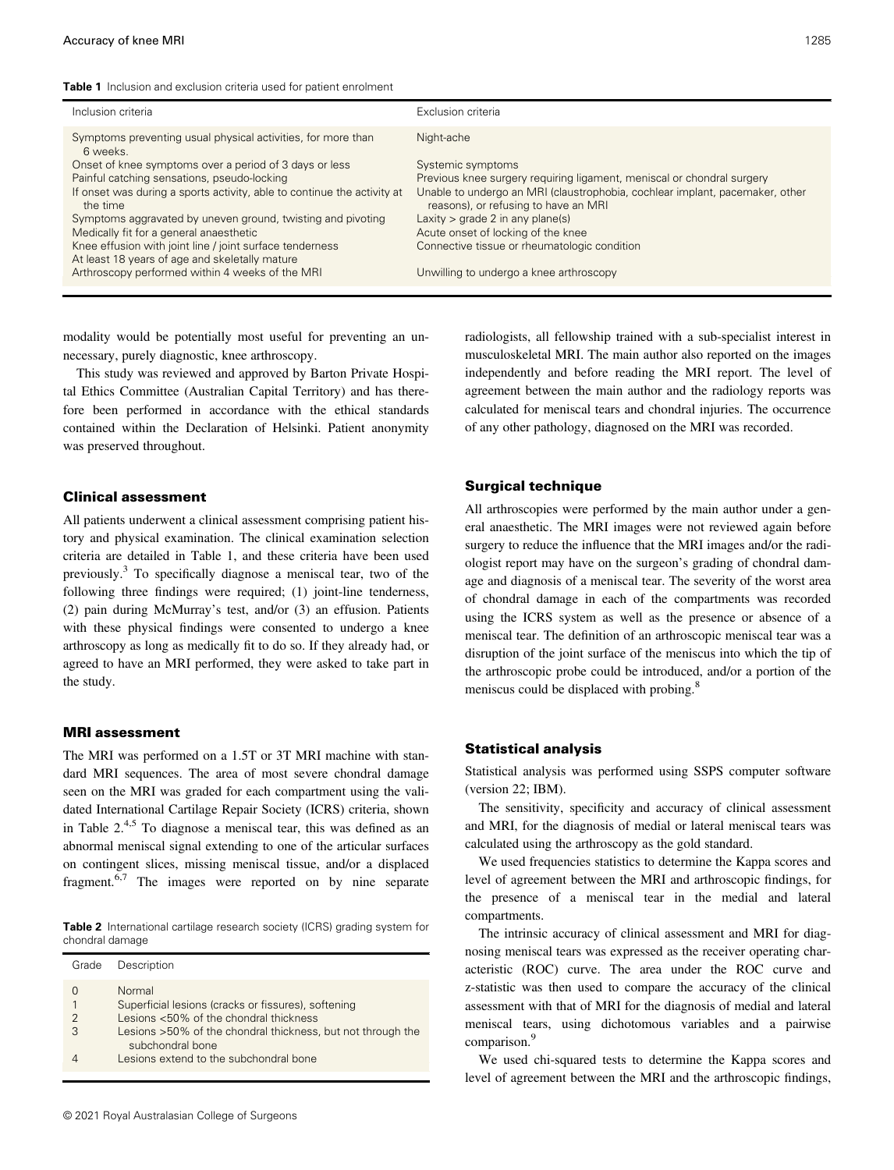Table 1 Inclusion and exclusion criteria used for patient enrolment

| Inclusion criteria                                                                                         | Exclusion criteria                                                                                                   |
|------------------------------------------------------------------------------------------------------------|----------------------------------------------------------------------------------------------------------------------|
| Symptoms preventing usual physical activities, for more than<br>6 weeks.                                   | Night-ache                                                                                                           |
| Onset of knee symptoms over a period of 3 days or less                                                     | Systemic symptoms                                                                                                    |
| Painful catching sensations, pseudo-locking                                                                | Previous knee surgery requiring ligament, meniscal or chondral surgery                                               |
| If onset was during a sports activity, able to continue the activity at<br>the time                        | Unable to undergo an MRI (claustrophobia, cochlear implant, pacemaker, other<br>reasons), or refusing to have an MRI |
| Symptoms aggravated by uneven ground, twisting and pivoting                                                | Laxity $>$ grade 2 in any plane(s)                                                                                   |
| Medically fit for a general anaesthetic                                                                    | Acute onset of locking of the knee                                                                                   |
| Knee effusion with joint line / joint surface tenderness<br>At least 18 years of age and skeletally mature | Connective tissue or rheumatologic condition                                                                         |
| Arthroscopy performed within 4 weeks of the MRI                                                            | Unwilling to undergo a knee arthroscopy                                                                              |

modality would be potentially most useful for preventing an unnecessary, purely diagnostic, knee arthroscopy.

This study was reviewed and approved by Barton Private Hospital Ethics Committee (Australian Capital Territory) and has therefore been performed in accordance with the ethical standards contained within the Declaration of Helsinki. Patient anonymity was preserved throughout.

#### Clinical assessment

All patients underwent a clinical assessment comprising patient history and physical examination. The clinical examination selection criteria are detailed in Table 1, and these criteria have been used previously.<sup>3</sup> To specifically diagnose a meniscal tear, two of the following three findings were required; (1) joint-line tenderness, (2) pain during McMurray's test, and/or (3) an effusion. Patients with these physical findings were consented to undergo a knee arthroscopy as long as medically fit to do so. If they already had, or agreed to have an MRI performed, they were asked to take part in the study.

#### MRI assessment

The MRI was performed on a 1.5T or 3T MRI machine with standard MRI sequences. The area of most severe chondral damage seen on the MRI was graded for each compartment using the validated International Cartilage Repair Society (ICRS) criteria, shown in Table  $2^{4,5}$  To diagnose a meniscal tear, this was defined as an abnormal meniscal signal extending to one of the articular surfaces on contingent slices, missing meniscal tissue, and/or a displaced fragment.<sup>6,7</sup> The images were reported on by nine separate

Table 2 International cartilage research society (ICRS) grading system for chondral damage

| Grade    | Description                                                                     |
|----------|---------------------------------------------------------------------------------|
| $\Omega$ | Normal<br>Superficial lesions (cracks or fissures), softening                   |
| 2        | Lesions <50% of the chondral thickness                                          |
| 3        | Lesions >50% of the chondral thickness, but not through the<br>subchondral bone |
|          | Lesions extend to the subchondral bone                                          |

© 2021 Royal Australasian College of Surgeons

radiologists, all fellowship trained with a sub-specialist interest in musculoskeletal MRI. The main author also reported on the images independently and before reading the MRI report. The level of agreement between the main author and the radiology reports was calculated for meniscal tears and chondral injuries. The occurrence of any other pathology, diagnosed on the MRI was recorded.

#### Surgical technique

All arthroscopies were performed by the main author under a general anaesthetic. The MRI images were not reviewed again before surgery to reduce the influence that the MRI images and/or the radiologist report may have on the surgeon's grading of chondral damage and diagnosis of a meniscal tear. The severity of the worst area of chondral damage in each of the compartments was recorded using the ICRS system as well as the presence or absence of a meniscal tear. The definition of an arthroscopic meniscal tear was a disruption of the joint surface of the meniscus into which the tip of the arthroscopic probe could be introduced, and/or a portion of the meniscus could be displaced with probing.<sup>8</sup>

#### Statistical analysis

Statistical analysis was performed using SSPS computer software (version 22; IBM).

The sensitivity, specificity and accuracy of clinical assessment and MRI, for the diagnosis of medial or lateral meniscal tears was calculated using the arthroscopy as the gold standard.

We used frequencies statistics to determine the Kappa scores and level of agreement between the MRI and arthroscopic findings, for the presence of a meniscal tear in the medial and lateral compartments.

The intrinsic accuracy of clinical assessment and MRI for diagnosing meniscal tears was expressed as the receiver operating characteristic (ROC) curve. The area under the ROC curve and z-statistic was then used to compare the accuracy of the clinical assessment with that of MRI for the diagnosis of medial and lateral meniscal tears, using dichotomous variables and a pairwise comparison.<sup>9</sup>

We used chi-squared tests to determine the Kappa scores and level of agreement between the MRI and the arthroscopic findings,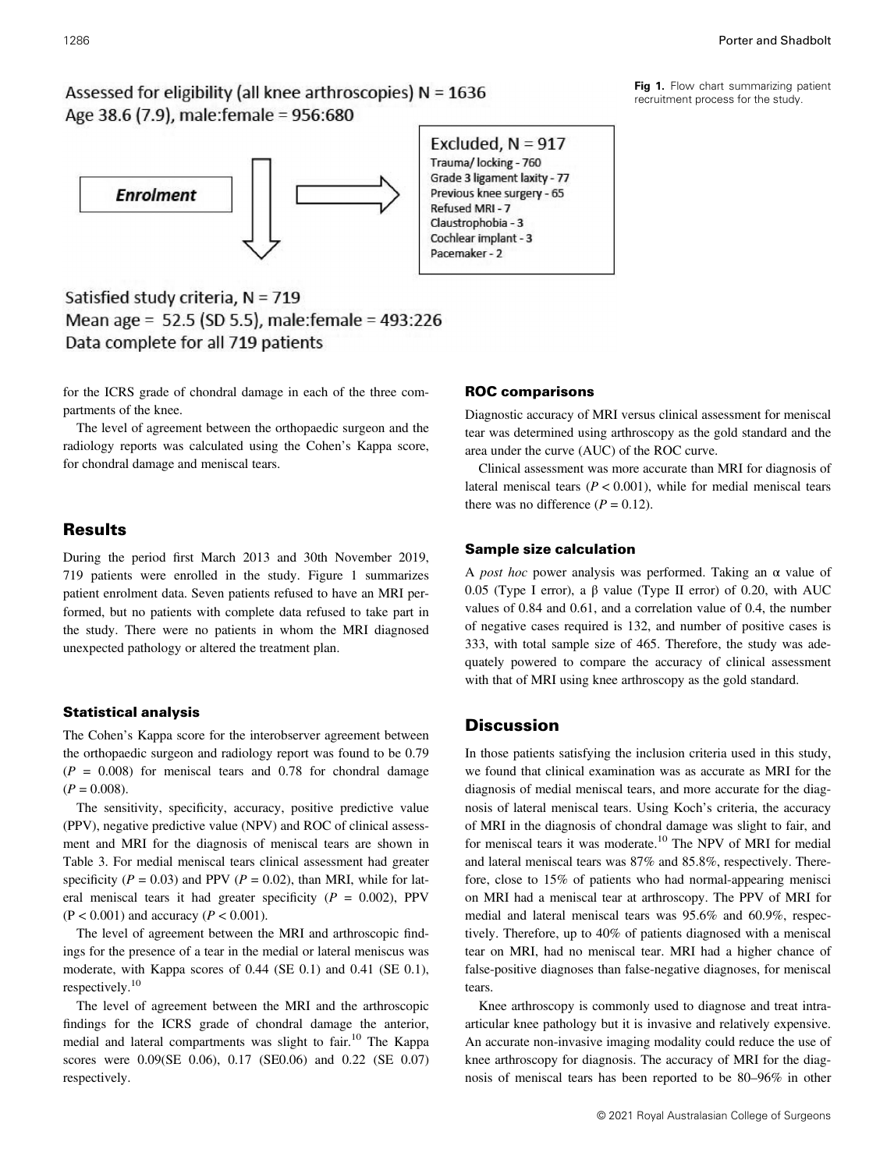Assessed for eligibility (all knee arthroscopies)  $N = 1636$ Age 38.6 (7.9), male: female = 956:680



Satisfied study criteria,  $N = 719$ Mean age = 52.5 (SD 5.5), male: female = 493:226 Data complete for all 719 patients

for the ICRS grade of chondral damage in each of the three compartments of the knee.

The level of agreement between the orthopaedic surgeon and the radiology reports was calculated using the Cohen's Kappa score, for chondral damage and meniscal tears.

## Results

During the period first March 2013 and 30th November 2019, 719 patients were enrolled in the study. Figure 1 summarizes patient enrolment data. Seven patients refused to have an MRI performed, but no patients with complete data refused to take part in the study. There were no patients in whom the MRI diagnosed unexpected pathology or altered the treatment plan.

#### Statistical analysis

The Cohen's Kappa score for the interobserver agreement between the orthopaedic surgeon and radiology report was found to be 0.79  $(P = 0.008)$  for meniscal tears and 0.78 for chondral damage  $(P = 0.008)$ .

The sensitivity, specificity, accuracy, positive predictive value (PPV), negative predictive value (NPV) and ROC of clinical assessment and MRI for the diagnosis of meniscal tears are shown in Table 3. For medial meniscal tears clinical assessment had greater specificity ( $P = 0.03$ ) and PPV ( $P = 0.02$ ), than MRI, while for lateral meniscal tears it had greater specificity ( $P = 0.002$ ), PPV  $(P < 0.001)$  and accuracy  $(P < 0.001)$ .

The level of agreement between the MRI and arthroscopic findings for the presence of a tear in the medial or lateral meniscus was moderate, with Kappa scores of 0.44 (SE 0.1) and 0.41 (SE 0.1), respectively.<sup>10</sup>

The level of agreement between the MRI and the arthroscopic findings for the ICRS grade of chondral damage the anterior, medial and lateral compartments was slight to fair.<sup>10</sup> The Kappa scores were 0.09(SE 0.06), 0.17 (SE0.06) and 0.22 (SE 0.07) respectively.

Excluded,  $N = 917$ Trauma/ locking - 760 Grade 3 ligament laxity - 77 Previous knee surgery - 65 Refused MRI - 7 Claustrophobia - 3 Cochlear implant - 3 Pacemaker - 2

#### ROC comparisons

Diagnostic accuracy of MRI versus clinical assessment for meniscal tear was determined using arthroscopy as the gold standard and the area under the curve (AUC) of the ROC curve.

Clinical assessment was more accurate than MRI for diagnosis of lateral meniscal tears ( $P < 0.001$ ), while for medial meniscal tears there was no difference  $(P = 0.12)$ .

#### Sample size calculation

A *post hoc* power analysis was performed. Taking an  $\alpha$  value of 0.05 (Type I error), a β value (Type II error) of 0.20, with AUC values of 0.84 and 0.61, and a correlation value of 0.4, the number of negative cases required is 132, and number of positive cases is 333, with total sample size of 465. Therefore, the study was adequately powered to compare the accuracy of clinical assessment with that of MRI using knee arthroscopy as the gold standard.

# **Discussion**

In those patients satisfying the inclusion criteria used in this study, we found that clinical examination was as accurate as MRI for the diagnosis of medial meniscal tears, and more accurate for the diagnosis of lateral meniscal tears. Using Koch's criteria, the accuracy of MRI in the diagnosis of chondral damage was slight to fair, and for meniscal tears it was moderate.<sup>10</sup> The NPV of MRI for medial and lateral meniscal tears was 87% and 85.8%, respectively. Therefore, close to 15% of patients who had normal-appearing menisci on MRI had a meniscal tear at arthroscopy. The PPV of MRI for medial and lateral meniscal tears was 95.6% and 60.9%, respectively. Therefore, up to 40% of patients diagnosed with a meniscal tear on MRI, had no meniscal tear. MRI had a higher chance of false-positive diagnoses than false-negative diagnoses, for meniscal tears.

Knee arthroscopy is commonly used to diagnose and treat intraarticular knee pathology but it is invasive and relatively expensive. An accurate non-invasive imaging modality could reduce the use of knee arthroscopy for diagnosis. The accuracy of MRI for the diagnosis of meniscal tears has been reported to be 80–96% in other

Fig 1. Flow chart summarizing patient recruitment process for the study.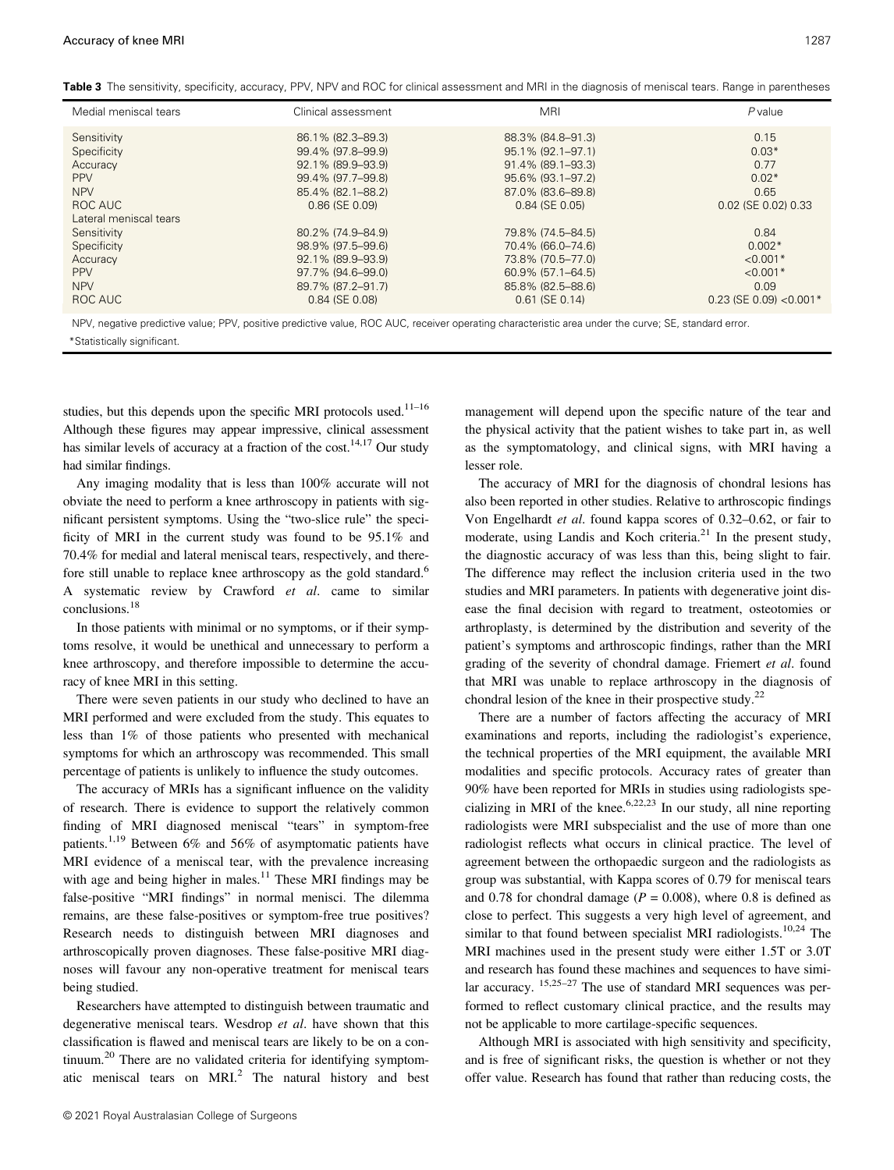Table 3 The sensitivity, specificity, accuracy, PPV, NPV and ROC for clinical assessment and MRI in the diagnosis of meniscal tears. Range in parentheses

| Medial meniscal tears                                                                                                                                | Clinical assessment                                                              | <b>MRI</b>                                                                          | $P$ value                                    |  |
|------------------------------------------------------------------------------------------------------------------------------------------------------|----------------------------------------------------------------------------------|-------------------------------------------------------------------------------------|----------------------------------------------|--|
| Sensitivity<br>Specificity<br>Accuracy<br><b>PPV</b>                                                                                                 | 86.1% (82.3-89.3)<br>99.4% (97.8-99.9)<br>92.1% (89.9-93.9)<br>99.4% (97.7-99.8) | 88.3% (84.8-91.3)<br>95.1% (92.1-97.1)<br>91.4% (89.1-93.3)<br>95.6% (93.1-97.2)    | 0.15<br>$0.03*$<br>0.77<br>$0.02*$           |  |
| <b>NPV</b><br>ROC AUC<br>Lateral meniscal tears                                                                                                      | 85.4% (82.1-88.2)<br>0.86 (SE 0.09)<br>80.2% (74.9-84.9)                         | 87.0% (83.6-89.8)<br>$0.84$ (SE $0.05$ )                                            | 0.65<br>0.02 (SE 0.02) 0.33                  |  |
| Sensitivity<br>Specificity<br>Accuracy<br><b>PPV</b>                                                                                                 | 98.9% (97.5-99.6)<br>92.1% (89.9-93.9)<br>97.7% (94.6–99.0)                      | 79.8% (74.5-84.5)<br>70.4% (66.0-74.6)<br>73.8% (70.5-77.0)<br>$60.9\%$ (57.1–64.5) | 0.84<br>$0.002*$<br>$< 0.001*$<br>$< 0.001*$ |  |
| <b>NPV</b><br>ROC AUC                                                                                                                                | 89.7% (87.2-91.7)<br>0.84 (SE 0.08)                                              | 85.8% (82.5-88.6)<br>$0.61$ (SE $0.14$ )                                            | 0.09<br>$0.23$ (SE 0.09) < 0.001*            |  |
| NPV, negative predictive value; PPV, positive predictive value, ROC AUC, receiver operating characteristic area under the curve; SE, standard error. |                                                                                  |                                                                                     |                                              |  |

\*Statistically significant.

studies, but this depends upon the specific MRI protocols used.<sup>11-16</sup> Although these figures may appear impressive, clinical assessment has similar levels of accuracy at a fraction of the cost.<sup>14,17</sup> Our study had similar findings.

Any imaging modality that is less than 100% accurate will not obviate the need to perform a knee arthroscopy in patients with significant persistent symptoms. Using the "two-slice rule" the specificity of MRI in the current study was found to be 95.1% and 70.4% for medial and lateral meniscal tears, respectively, and therefore still unable to replace knee arthroscopy as the gold standard.<sup>6</sup> A systematic review by Crawford et al. came to similar conclusions.18

In those patients with minimal or no symptoms, or if their symptoms resolve, it would be unethical and unnecessary to perform a knee arthroscopy, and therefore impossible to determine the accuracy of knee MRI in this setting.

There were seven patients in our study who declined to have an MRI performed and were excluded from the study. This equates to less than 1% of those patients who presented with mechanical symptoms for which an arthroscopy was recommended. This small percentage of patients is unlikely to influence the study outcomes.

The accuracy of MRIs has a significant influence on the validity of research. There is evidence to support the relatively common finding of MRI diagnosed meniscal "tears" in symptom-free patients.<sup>1,19</sup> Between 6% and 56% of asymptomatic patients have MRI evidence of a meniscal tear, with the prevalence increasing with age and being higher in males.<sup>11</sup> These MRI findings may be false-positive "MRI findings" in normal menisci. The dilemma remains, are these false-positives or symptom-free true positives? Research needs to distinguish between MRI diagnoses and arthroscopically proven diagnoses. These false-positive MRI diagnoses will favour any non-operative treatment for meniscal tears being studied.

Researchers have attempted to distinguish between traumatic and degenerative meniscal tears. Wesdrop et al. have shown that this classification is flawed and meniscal tears are likely to be on a continuum.<sup>20</sup> There are no validated criteria for identifying symptomatic meniscal tears on MRI.<sup>2</sup> The natural history and best management will depend upon the specific nature of the tear and the physical activity that the patient wishes to take part in, as well as the symptomatology, and clinical signs, with MRI having a lesser role.

The accuracy of MRI for the diagnosis of chondral lesions has also been reported in other studies. Relative to arthroscopic findings Von Engelhardt et al. found kappa scores of 0.32–0.62, or fair to moderate, using Landis and Koch criteria. $2<sup>1</sup>$  In the present study, the diagnostic accuracy of was less than this, being slight to fair. The difference may reflect the inclusion criteria used in the two studies and MRI parameters. In patients with degenerative joint disease the final decision with regard to treatment, osteotomies or arthroplasty, is determined by the distribution and severity of the patient's symptoms and arthroscopic findings, rather than the MRI grading of the severity of chondral damage. Friemert et al. found that MRI was unable to replace arthroscopy in the diagnosis of chondral lesion of the knee in their prospective study. $^{22}$ 

There are a number of factors affecting the accuracy of MRI examinations and reports, including the radiologist's experience, the technical properties of the MRI equipment, the available MRI modalities and specific protocols. Accuracy rates of greater than 90% have been reported for MRIs in studies using radiologists specializing in MRI of the knee.<sup>6,22,23</sup> In our study, all nine reporting radiologists were MRI subspecialist and the use of more than one radiologist reflects what occurs in clinical practice. The level of agreement between the orthopaedic surgeon and the radiologists as group was substantial, with Kappa scores of 0.79 for meniscal tears and 0.78 for chondral damage ( $P = 0.008$ ), where 0.8 is defined as close to perfect. This suggests a very high level of agreement, and similar to that found between specialist MRI radiologists.<sup>10,24</sup> The MRI machines used in the present study were either 1.5T or 3.0T and research has found these machines and sequences to have similar accuracy. <sup>15,25-27</sup> The use of standard MRI sequences was performed to reflect customary clinical practice, and the results may not be applicable to more cartilage-specific sequences.

Although MRI is associated with high sensitivity and specificity, and is free of significant risks, the question is whether or not they offer value. Research has found that rather than reducing costs, the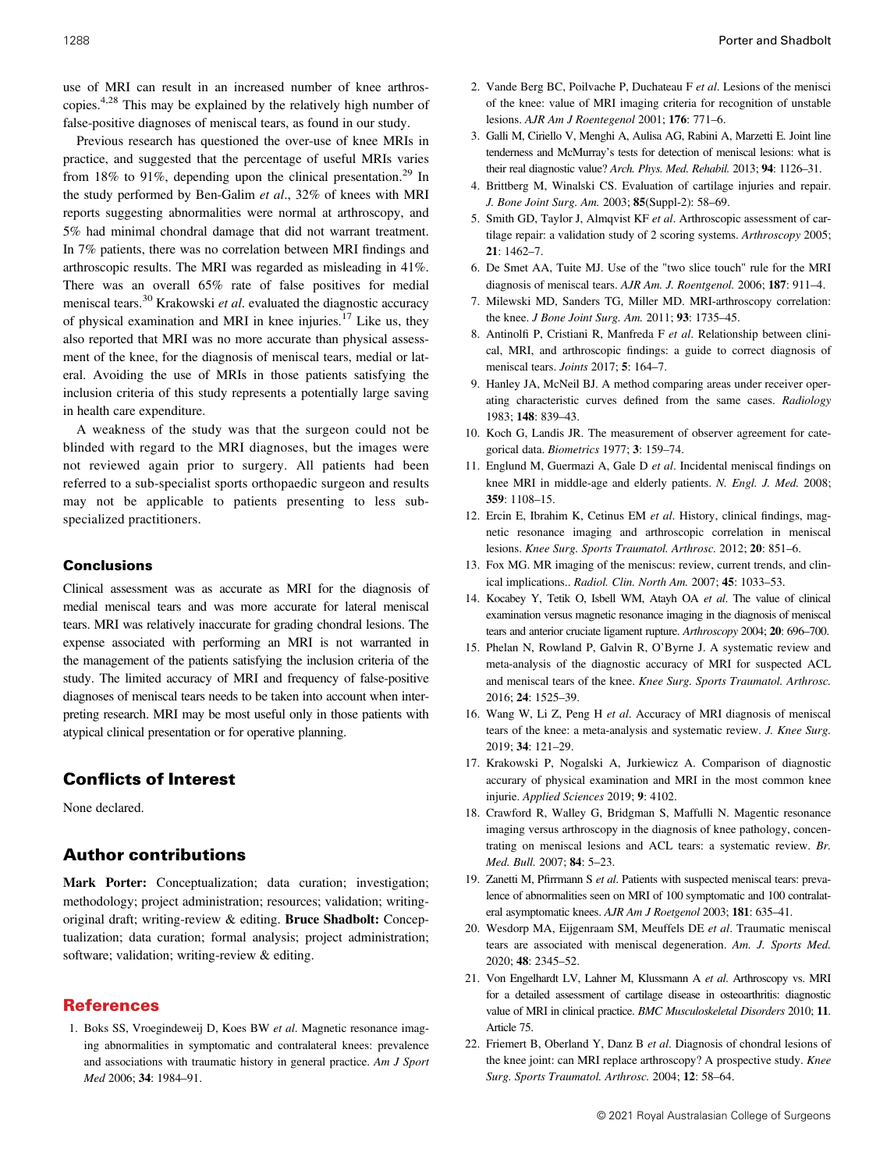use of MRI can result in an increased number of knee arthroscopies.4,28 This may be explained by the relatively high number of false-positive diagnoses of meniscal tears, as found in our study.

Previous research has questioned the over-use of knee MRIs in practice, and suggested that the percentage of useful MRIs varies from 18% to 91%, depending upon the clinical presentation.<sup>29</sup> In the study performed by Ben-Galim et al., 32% of knees with MRI reports suggesting abnormalities were normal at arthroscopy, and 5% had minimal chondral damage that did not warrant treatment. In 7% patients, there was no correlation between MRI findings and arthroscopic results. The MRI was regarded as misleading in 41%. There was an overall 65% rate of false positives for medial meniscal tears.<sup>30</sup> Krakowski *et al.* evaluated the diagnostic accuracy of physical examination and MRI in knee injuries.<sup>17</sup> Like us, they also reported that MRI was no more accurate than physical assessment of the knee, for the diagnosis of meniscal tears, medial or lateral. Avoiding the use of MRIs in those patients satisfying the inclusion criteria of this study represents a potentially large saving in health care expenditure.

A weakness of the study was that the surgeon could not be blinded with regard to the MRI diagnoses, but the images were not reviewed again prior to surgery. All patients had been referred to a sub-specialist sports orthopaedic surgeon and results may not be applicable to patients presenting to less subspecialized practitioners.

## Conclusions

Clinical assessment was as accurate as MRI for the diagnosis of medial meniscal tears and was more accurate for lateral meniscal tears. MRI was relatively inaccurate for grading chondral lesions. The expense associated with performing an MRI is not warranted in the management of the patients satisfying the inclusion criteria of the study. The limited accuracy of MRI and frequency of false-positive diagnoses of meniscal tears needs to be taken into account when interpreting research. MRI may be most useful only in those patients with atypical clinical presentation or for operative planning.

# Conflicts of Interest

None declared.

# Author contributions

Mark Porter: Conceptualization; data curation; investigation; methodology; project administration; resources; validation; writingoriginal draft; writing-review & editing. Bruce Shadbolt: Conceptualization; data curation; formal analysis; project administration; software; validation; writing-review & editing.

# References

1. Boks SS, Vroegindeweij D, Koes BW et al. Magnetic resonance imaging abnormalities in symptomatic and contralateral knees: prevalence and associations with traumatic history in general practice. Am J Sport Med 2006; 34: 1984–91.

- 2. Vande Berg BC, Poilvache P, Duchateau F et al. Lesions of the menisci of the knee: value of MRI imaging criteria for recognition of unstable lesions. AJR Am J Roentegenol 2001; 176: 771–6.
- 3. Galli M, Ciriello V, Menghi A, Aulisa AG, Rabini A, Marzetti E. Joint line tenderness and McMurray's tests for detection of meniscal lesions: what is their real diagnostic value? Arch. Phys. Med. Rehabil. 2013; 94: 1126–31.
- 4. Brittberg M, Winalski CS. Evaluation of cartilage injuries and repair. J. Bone Joint Surg. Am. 2003; 85(Suppl-2): 58–69.
- 5. Smith GD, Taylor J, Almqvist KF et al. Arthroscopic assessment of cartilage repair: a validation study of 2 scoring systems. Arthroscopy 2005; 21: 1462–7.
- 6. De Smet AA, Tuite MJ. Use of the "two slice touch" rule for the MRI diagnosis of meniscal tears. AJR Am. J. Roentgenol. 2006; 187: 911–4.
- 7. Milewski MD, Sanders TG, Miller MD. MRI-arthroscopy correlation: the knee. J Bone Joint Surg. Am. 2011; 93: 1735–45.
- 8. Antinolfi P, Cristiani R, Manfreda F et al. Relationship between clinical, MRI, and arthroscopic findings: a guide to correct diagnosis of meniscal tears. Joints 2017; 5: 164-7.
- 9. Hanley JA, McNeil BJ. A method comparing areas under receiver operating characteristic curves defined from the same cases. Radiology 1983; 148: 839–43.
- 10. Koch G, Landis JR. The measurement of observer agreement for categorical data. Biometrics 1977; 3: 159–74.
- 11. Englund M, Guermazi A, Gale D et al. Incidental meniscal findings on knee MRI in middle-age and elderly patients. N. Engl. J. Med. 2008; 359: 1108–15.
- 12. Ercin E, Ibrahim K, Cetinus EM et al. History, clinical findings, magnetic resonance imaging and arthroscopic correlation in meniscal lesions. Knee Surg. Sports Traumatol. Arthrosc. 2012; 20: 851–6.
- 13. Fox MG. MR imaging of the meniscus: review, current trends, and clinical implications.. Radiol. Clin. North Am. 2007; 45: 1033–53.
- 14. Kocabey Y, Tetik O, Isbell WM, Atayh OA et al. The value of clinical examination versus magnetic resonance imaging in the diagnosis of meniscal tears and anterior cruciate ligament rupture. Arthroscopy 2004; 20: 696–700.
- 15. Phelan N, Rowland P, Galvin R, O'Byrne J. A systematic review and meta-analysis of the diagnostic accuracy of MRI for suspected ACL and meniscal tears of the knee. Knee Surg. Sports Traumatol. Arthrosc. 2016; 24: 1525–39.
- 16. Wang W, Li Z, Peng H et al. Accuracy of MRI diagnosis of meniscal tears of the knee: a meta-analysis and systematic review. J. Knee Surg. 2019; 34: 121–29.
- 17. Krakowski P, Nogalski A, Jurkiewicz A. Comparison of diagnostic accurary of physical examination and MRI in the most common knee injurie. Applied Sciences 2019; 9: 4102.
- 18. Crawford R, Walley G, Bridgman S, Maffulli N. Magentic resonance imaging versus arthroscopy in the diagnosis of knee pathology, concentrating on meniscal lesions and ACL tears: a systematic review. Br. Med. Bull. 2007; 84: 5–23.
- 19. Zanetti M, Pfirrmann S et al. Patients with suspected meniscal tears: prevalence of abnormalities seen on MRI of 100 symptomatic and 100 contralateral asymptomatic knees. AJR Am J Roetgenol 2003; 181: 635-41.
- 20. Wesdorp MA, Eijgenraam SM, Meuffels DE et al. Traumatic meniscal tears are associated with meniscal degeneration. Am. J. Sports Med. 2020; 48: 2345–52.
- 21. Von Engelhardt LV, Lahner M, Klussmann A et al. Arthroscopy vs. MRI for a detailed assessment of cartilage disease in osteoarthritis: diagnostic value of MRI in clinical practice. BMC Musculoskeletal Disorders 2010; 11. Article 75.
- 22. Friemert B, Oberland Y, Danz B et al. Diagnosis of chondral lesions of the knee joint: can MRI replace arthroscopy? A prospective study. Knee Surg. Sports Traumatol. Arthrosc. 2004; 12: 58–64.